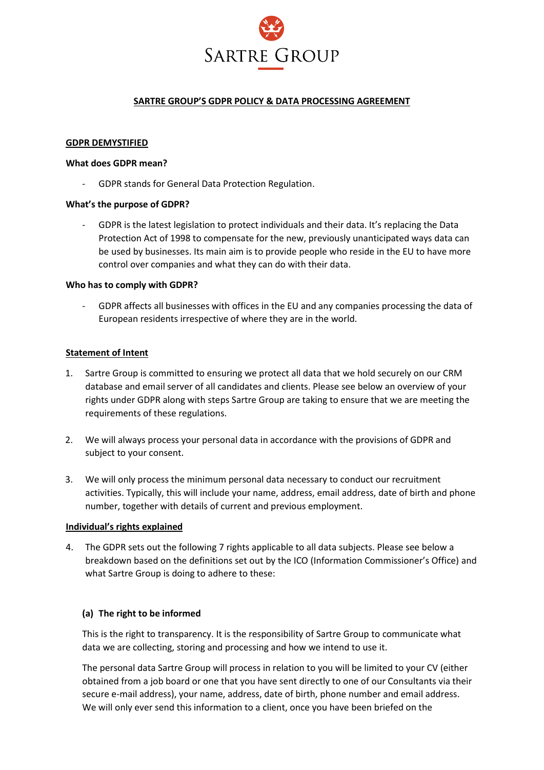

### **SARTRE GROUP'S GDPR POLICY & DATA PROCESSING AGREEMENT**

#### **GDPR DEMYSTIFIED**

#### **What does GDPR mean?**

- GDPR stands for General Data Protection Regulation.

#### **What's the purpose of GDPR?**

GDPR is the latest legislation to protect individuals and their data. It's replacing the Data Protection Act of 1998 to compensate for the new, previously unanticipated ways data can be used by businesses. Its main aim is to provide people who reside in the EU to have more control over companies and what they can do with their data.

#### **Who has to comply with GDPR?**

- GDPR affects all businesses with offices in the EU and any companies processing the data of European residents irrespective of where they are in the world.

#### **Statement of Intent**

- 1. Sartre Group is committed to ensuring we protect all data that we hold securely on our CRM database and email server of all candidates and clients. Please see below an overview of your rights under GDPR along with steps Sartre Group are taking to ensure that we are meeting the requirements of these regulations.
- 2. We will always process your personal data in accordance with the provisions of GDPR and subject to your consent.
- 3. We will only process the minimum personal data necessary to conduct our recruitment activities. Typically, this will include your name, address, email address, date of birth and phone number, together with details of current and previous employment.

#### **Individual's rights explained**

4. The GDPR sets out the following 7 rights applicable to all data subjects. Please see below a breakdown based on the definitions set out by the ICO (Information Commissioner's Office) and what Sartre Group is doing to adhere to these:

#### **(a) The right to be informed**

This is the right to transparency. It is the responsibility of Sartre Group to communicate what data we are collecting, storing and processing and how we intend to use it.

The personal data Sartre Group will process in relation to you will be limited to your CV (either obtained from a job board or one that you have sent directly to one of our Consultants via their secure e-mail address), your name, address, date of birth, phone number and email address. We will only ever send this information to a client, once you have been briefed on the